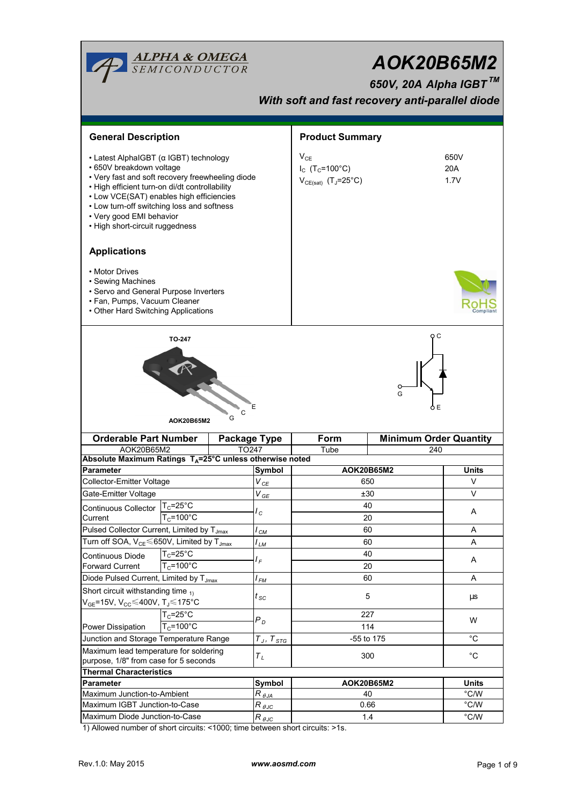| <b>ALPHA &amp; OMEGA</b><br>SEMICONDUCTOR<br>AOK20B65M2<br>650V, 20A Alpha IGBT™<br>With soft and fast recovery anti-parallel diode                                                                                                                                                                                               |                             |                  |                                                                                     |                        |                               |              |  |  |  |  |  |  |
|-----------------------------------------------------------------------------------------------------------------------------------------------------------------------------------------------------------------------------------------------------------------------------------------------------------------------------------|-----------------------------|------------------|-------------------------------------------------------------------------------------|------------------------|-------------------------------|--------------|--|--|--|--|--|--|
| <b>General Description</b>                                                                                                                                                                                                                                                                                                        |                             |                  |                                                                                     | <b>Product Summary</b> |                               |              |  |  |  |  |  |  |
| • Latest AlphaIGBT (α IGBT) technology<br>• 650V breakdown voltage<br>• Very fast and soft recovery freewheeling diode<br>• High efficient turn-on di/dt controllability<br>• Low VCE(SAT) enables high efficiencies<br>• Low turn-off switching loss and softness<br>• Very good EMI behavior<br>• High short-circuit ruggedness |                             |                  | $V_{CE}$<br>$I_{C}$ (T <sub>C</sub> =100°C)<br>$V_{CE(sat)}$ (T <sub>J</sub> =25°C) |                        | 650V<br>20A<br>1.7V           |              |  |  |  |  |  |  |
| <b>Applications</b>                                                                                                                                                                                                                                                                                                               |                             |                  |                                                                                     |                        |                               |              |  |  |  |  |  |  |
| • Motor Drives<br>• Sewing Machines<br>• Servo and General Purpose Inverters<br>• Fan, Pumps, Vacuum Cleaner<br>• Other Hard Switching Applications                                                                                                                                                                               |                             |                  |                                                                                     |                        |                               |              |  |  |  |  |  |  |
|                                                                                                                                                                                                                                                                                                                                   | <b>TO-247</b><br>AOK20B65M2 | C<br>G           | G                                                                                   |                        |                               |              |  |  |  |  |  |  |
| <b>Orderable Part Number</b><br>Package Type                                                                                                                                                                                                                                                                                      |                             |                  | Form                                                                                |                        | <b>Minimum Order Quantity</b> |              |  |  |  |  |  |  |
| AOK20B65M2<br>Absolute Maximum Ratings T <sub>A</sub> =25°C unless otherwise noted                                                                                                                                                                                                                                                |                             | TO247            |                                                                                     | Tube                   | 240                           |              |  |  |  |  |  |  |
| Parameter                                                                                                                                                                                                                                                                                                                         |                             |                  | Symbol                                                                              | AOK20B65M2             |                               | <b>Units</b> |  |  |  |  |  |  |
| Collector-Emitter Voltage                                                                                                                                                                                                                                                                                                         |                             |                  | $V_{\text{CE}}$                                                                     | 650                    |                               | V            |  |  |  |  |  |  |
| Gate-Emitter Voltage                                                                                                                                                                                                                                                                                                              |                             |                  |                                                                                     | ±30                    |                               | V            |  |  |  |  |  |  |
|                                                                                                                                                                                                                                                                                                                                   | $T_c = 25$ °C               |                  | $V_{GE}$<br>$I_c$                                                                   | 40                     | Α                             |              |  |  |  |  |  |  |
| <b>Continuous Collector</b><br>Current                                                                                                                                                                                                                                                                                            | $T_c = 100^{\circ}$ C       |                  |                                                                                     | 20                     |                               |              |  |  |  |  |  |  |
|                                                                                                                                                                                                                                                                                                                                   |                             |                  | $I_{CM}$                                                                            | 60                     | A                             |              |  |  |  |  |  |  |
| Pulsed Collector Current, Limited by T <sub>Jmax</sub>                                                                                                                                                                                                                                                                            |                             |                  | l <sub>LM</sub>                                                                     | 60                     |                               | A            |  |  |  |  |  |  |
| Turn off SOA, $V_{CE}$ 650V, Limited by $T_{Jmax}$<br>$T_c = 25$ °C                                                                                                                                                                                                                                                               |                             |                  |                                                                                     | 40                     |                               |              |  |  |  |  |  |  |
| Continuous Diode<br><b>Forward Current</b>                                                                                                                                                                                                                                                                                        | $T_c = 100^{\circ}$ C       |                  | Ι <sub>F</sub>                                                                      | 20                     |                               | Α            |  |  |  |  |  |  |
| Diode Pulsed Current, Limited by T <sub>Jmax</sub>                                                                                                                                                                                                                                                                                |                             | l <sub>FM</sub>  | 60                                                                                  |                        | Α                             |              |  |  |  |  |  |  |
| Short circuit withstanding time $_{11}$                                                                                                                                                                                                                                                                                           |                             |                  |                                                                                     |                        |                               |              |  |  |  |  |  |  |
| V <sub>GE</sub> =15V, V <sub>CC</sub> ≤400V, Tյ≤175°C                                                                                                                                                                                                                                                                             |                             | $t_{\rm sc}$     | 5                                                                                   |                        | μs                            |              |  |  |  |  |  |  |
| $T_c = 25$ °C                                                                                                                                                                                                                                                                                                                     |                             |                  |                                                                                     | 227                    | W                             |              |  |  |  |  |  |  |
| $T_c = 100^{\circ}C$<br>Power Dissipation                                                                                                                                                                                                                                                                                         |                             | $P_D$            | 114                                                                                 |                        |                               |              |  |  |  |  |  |  |
| Junction and Storage Temperature Range                                                                                                                                                                                                                                                                                            |                             |                  | $T_J$ , $T_{STG}$                                                                   | -55 to 175             | °C                            |              |  |  |  |  |  |  |
| Maximum lead temperature for soldering                                                                                                                                                                                                                                                                                            |                             |                  | $\tau_{\scriptscriptstyle L}$                                                       | 300                    |                               | $^{\circ}C$  |  |  |  |  |  |  |
| purpose, 1/8" from case for 5 seconds                                                                                                                                                                                                                                                                                             |                             |                  |                                                                                     |                        |                               |              |  |  |  |  |  |  |
| <b>Thermal Characteristics</b>                                                                                                                                                                                                                                                                                                    |                             |                  |                                                                                     |                        |                               |              |  |  |  |  |  |  |
| Parameter                                                                                                                                                                                                                                                                                                                         |                             |                  | Symbol                                                                              | AOK20B65M2             |                               | <b>Units</b> |  |  |  |  |  |  |
| Maximum Junction-to-Ambient<br>Maximum IGBT Junction-to-Case                                                                                                                                                                                                                                                                      |                             |                  | $R_{\theta$ JA                                                                      | 40<br>0.66             |                               | °C/W         |  |  |  |  |  |  |
| Maximum Diode Junction-to-Case                                                                                                                                                                                                                                                                                                    |                             |                  | $R_{\theta \text{JC}}$                                                              |                        | °C/W                          |              |  |  |  |  |  |  |
|                                                                                                                                                                                                                                                                                                                                   |                             | R $_{\theta}$ JC | 1.4                                                                                 |                        | $\degree$ C/W                 |              |  |  |  |  |  |  |

1) Allowed number of short circuits: <1000; time between short circuits: >1s.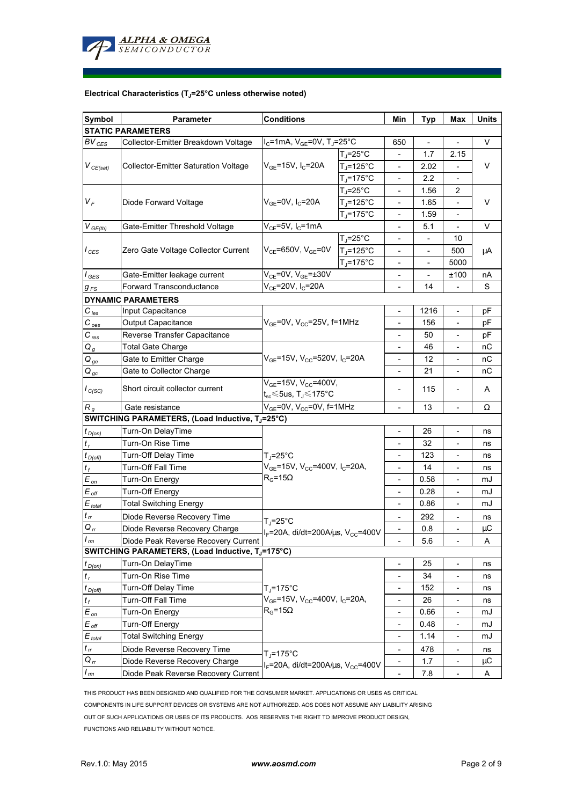

## **Electrical Characteristics (TJ=25°C unless otherwise noted)**

| Symbol                     | <b>Parameter</b>                                 |                                                                                                  | Min                                 | <b>Typ</b>                   | Max            | Units                    |    |  |  |  |  |  |
|----------------------------|--------------------------------------------------|--------------------------------------------------------------------------------------------------|-------------------------------------|------------------------------|----------------|--------------------------|----|--|--|--|--|--|
| <b>STATIC PARAMETERS</b>   |                                                  |                                                                                                  |                                     |                              |                |                          |    |  |  |  |  |  |
| $BV_{CES}$                 | Collector-Emitter Breakdown Voltage              | $I_C$ =1mA, $V_{GE}$ =0V, T <sub>J</sub> =25°C                                                   |                                     | 650                          |                |                          | V  |  |  |  |  |  |
| $V_{CE(sat)}$              |                                                  |                                                                                                  | $T_J = 25$ °C                       |                              | 1.7            | 2.15                     | V  |  |  |  |  |  |
|                            | <b>Collector-Emitter Saturation Voltage</b>      | $V_{GE}$ =15V, I <sub>C</sub> =20A                                                               | $T_J = 125$ °C                      |                              | 2.02           |                          |    |  |  |  |  |  |
|                            |                                                  |                                                                                                  | $T_J = 175$ °C                      |                              | 2.2            |                          |    |  |  |  |  |  |
|                            |                                                  | $V_{GE}$ =0V, I <sub>C</sub> =20A                                                                | T. <sub>I</sub> =25°C               |                              | 1.56           | 2                        | V  |  |  |  |  |  |
| $V_F$                      | Diode Forward Voltage                            |                                                                                                  | $T_J = 125$ °C                      |                              | 1.65           |                          |    |  |  |  |  |  |
|                            |                                                  |                                                                                                  | $T_J = 175$ °C                      | -                            | 1.59           | $\overline{\phantom{a}}$ |    |  |  |  |  |  |
| $V_{GE(th)}$               | Gate-Emitter Threshold Voltage                   | $V_{CE}$ =5V, I <sub>C</sub> =1mA                                                                |                                     | $\overline{\phantom{a}}$     | 5.1            | $\overline{\phantom{a}}$ | V  |  |  |  |  |  |
| $I_{CES}$                  | Zero Gate Voltage Collector Current              | $V_{CE}$ =650V, $V_{GE}$ =0V                                                                     | $T_{J}$ =25°C                       | $\overline{\phantom{0}}$     | $\blacksquare$ | 10                       | μA |  |  |  |  |  |
|                            |                                                  |                                                                                                  | $T_J = 125$ °C                      | $\overline{\phantom{0}}$     | $\overline{a}$ | 500                      |    |  |  |  |  |  |
|                            |                                                  |                                                                                                  | $T_J = 175$ °C                      |                              |                | 5000                     |    |  |  |  |  |  |
| $I_{\text{GES}}$           | Gate-Emitter leakage current                     | $V_{CE}$ =0V, $V_{GE}$ =±30V                                                                     |                                     |                              |                | ±100                     | nA |  |  |  |  |  |
| $g_{FS}$                   | <b>Forward Transconductance</b>                  | $V_{CE}$ =20V, I <sub>C</sub> =20A                                                               |                                     | $\overline{a}$               | 14             |                          | S  |  |  |  |  |  |
|                            | <b>DYNAMIC PARAMETERS</b>                        |                                                                                                  |                                     |                              |                |                          |    |  |  |  |  |  |
| $C_\mathit{ies}$           | Input Capacitance                                |                                                                                                  |                                     |                              | 1216           | $\overline{\phantom{a}}$ | рF |  |  |  |  |  |
| $C_{oes}$                  | Output Capacitance                               |                                                                                                  | $V_{GE}$ =0V, $V_{CC}$ =25V, f=1MHz |                              | 156            |                          | рF |  |  |  |  |  |
| $C_{\mathit{res}}$         | Reverse Transfer Capacitance                     |                                                                                                  |                                     |                              | 50             | $\overline{\phantom{a}}$ | рF |  |  |  |  |  |
| $Q_g$                      | <b>Total Gate Charge</b>                         |                                                                                                  |                                     | $\overline{\phantom{a}}$     | 46             | $\overline{\phantom{a}}$ | nС |  |  |  |  |  |
| $Q_{ge}$                   | Gate to Emitter Charge                           | $V_{GE}$ =15V, V <sub>CC</sub> =520V, I <sub>C</sub> =20A                                        |                                     | $\overline{\phantom{0}}$     | 12             | $\overline{\phantom{a}}$ | nС |  |  |  |  |  |
| $Q_{gc}$                   | Gate to Collector Charge                         |                                                                                                  |                                     | $\overline{\phantom{a}}$     | 21             | $\overline{\phantom{a}}$ | пC |  |  |  |  |  |
| $I_{C(SC)}$                |                                                  | $V_{GE}$ =15V, $V_{CC}$ =400V,                                                                   |                                     |                              |                |                          |    |  |  |  |  |  |
|                            | Short circuit collector current                  | $t_{\rm sc}$ $\leq$ 5us, T $\lrcorner$ $\leq$ 175°C                                              |                                     | 115                          |                | A                        |    |  |  |  |  |  |
| $R_{q}$                    | Gate resistance                                  | $V_{GE}$ =0V, V <sub>CC</sub> =0V, f=1MHz                                                        |                                     | $\overline{\phantom{0}}$     | 13             |                          | Ω  |  |  |  |  |  |
|                            | SWITCHING PARAMETERS, (Load Inductive, TJ=25°C)  |                                                                                                  |                                     |                              |                |                          |    |  |  |  |  |  |
| $t_{D(0n)}$                | Turn-On DelayTime                                | $T_{\rm J}$ =25°C                                                                                |                                     |                              | 26             | $\overline{\phantom{a}}$ | ns |  |  |  |  |  |
| $t_r$                      | Turn-On Rise Time                                |                                                                                                  |                                     |                              | 32             | $\overline{\phantom{a}}$ | ns |  |  |  |  |  |
| $t_{D(Off)}$               | <b>Turn-Off Delay Time</b>                       |                                                                                                  |                                     | $\overline{\phantom{0}}$     | 123            | $\overline{\phantom{a}}$ | ns |  |  |  |  |  |
| $t_f$                      | <b>Turn-Off Fall Time</b>                        | $V_{GE}$ =15V, V <sub>CC</sub> =400V, I <sub>C</sub> =20A,                                       |                                     | $\overline{\phantom{0}}$     | 14             | $\overline{\phantom{a}}$ | ns |  |  |  |  |  |
| $E_{on}$                   | Turn-On Energy                                   | $R_G = 15\Omega$                                                                                 |                                     | $\overline{\phantom{a}}$     | 0.58           | $\overline{\phantom{a}}$ | mJ |  |  |  |  |  |
| $E_{\textit{\tiny off}}$   | <b>Turn-Off Energy</b>                           |                                                                                                  |                                     | $\overline{\phantom{0}}$     | 0.28           | $\overline{\phantom{a}}$ | mJ |  |  |  |  |  |
| $E_{total}$                | <b>Total Switching Energy</b>                    |                                                                                                  |                                     | $\frac{1}{2}$                | 0.86           | $\overline{\phantom{a}}$ | mJ |  |  |  |  |  |
| $t_{rr}$                   | Diode Reverse Recovery Time                      |                                                                                                  |                                     |                              | 292            |                          | ns |  |  |  |  |  |
| $Q_{rr}$                   | Diode Reverse Recovery Charge                    | $T_J = 25^{\circ}C$                                                                              |                                     |                              | 0.8            |                          | μC |  |  |  |  |  |
| $\mathsf{r}_m$             | Diode Peak Reverse Recovery Current              | $I_F = 20A$ , di/dt=200A/ $\mu$ s, V <sub>CC</sub> =400V                                         |                                     | -                            | 5.6            |                          | Α  |  |  |  |  |  |
|                            | SWITCHING PARAMETERS, (Load Inductive, TJ=175°C) |                                                                                                  |                                     |                              |                |                          |    |  |  |  |  |  |
| $t_{D(0n)}$                | Turn-On DelayTime                                |                                                                                                  |                                     | -                            | 25             | $\overline{\phantom{a}}$ | ns |  |  |  |  |  |
| $t_r$                      | Turn-On Rise Time                                | $T_J = 175$ °C<br>$V_{GE}$ =15V, V <sub>CC</sub> =400V, I <sub>C</sub> =20A,<br>$R_G = 15\Omega$ |                                     | $\overline{\phantom{0}}$     | 34             | $\overline{\phantom{a}}$ | ns |  |  |  |  |  |
| $t_{D(off)}$               | Turn-Off Delay Time                              |                                                                                                  |                                     | $\overline{\phantom{0}}$     | 152            | $\overline{\phantom{a}}$ | ns |  |  |  |  |  |
| $t_f$                      | Turn-Off Fall Time                               |                                                                                                  |                                     | $\overline{\phantom{0}}$     | 26             |                          | ns |  |  |  |  |  |
| $E_{on}$                   | Turn-On Energy                                   |                                                                                                  |                                     | $\overline{\phantom{0}}$     | 0.66           | $\overline{\phantom{a}}$ | mJ |  |  |  |  |  |
| $E_{\mathit{off}}$         | <b>Turn-Off Energy</b>                           |                                                                                                  |                                     | $\frac{1}{2}$                | 0.48           | $\blacksquare$           | mJ |  |  |  |  |  |
|                            | <b>Total Switching Energy</b>                    |                                                                                                  |                                     |                              | 1.14           |                          | mJ |  |  |  |  |  |
| $E_{\text{total}}$         |                                                  |                                                                                                  |                                     |                              |                |                          |    |  |  |  |  |  |
| $t_{\scriptscriptstyle H}$ | Diode Reverse Recovery Time                      | $T_i = 175$ °C                                                                                   |                                     |                              | 478            |                          | ns |  |  |  |  |  |
| $Q_{rr}$                   | Diode Reverse Recovery Charge                    | I <sub>F</sub> =20A, di/dt=200A/ $\mu$ s, V <sub>cc</sub> =400V                                  |                                     | -                            | 1.7            |                          | μC |  |  |  |  |  |
| $I_{rm}$                   | Diode Peak Reverse Recovery Current              |                                                                                                  |                                     | $\qquad \qquad \blacksquare$ | 7.8            |                          | A  |  |  |  |  |  |

THIS PRODUCT HAS BEEN DESIGNED AND QUALIFIED FOR THE CONSUMER MARKET. APPLICATIONS OR USES AS CRITICAL COMPONENTS IN LIFE SUPPORT DEVICES OR SYSTEMS ARE NOT AUTHORIZED. AOS DOES NOT ASSUME ANY LIABILITY ARISING OUT OF SUCH APPLICATIONS OR USES OF ITS PRODUCTS. AOS RESERVES THE RIGHT TO IMPROVE PRODUCT DESIGN, FUNCTIONS AND RELIABILITY WITHOUT NOTICE.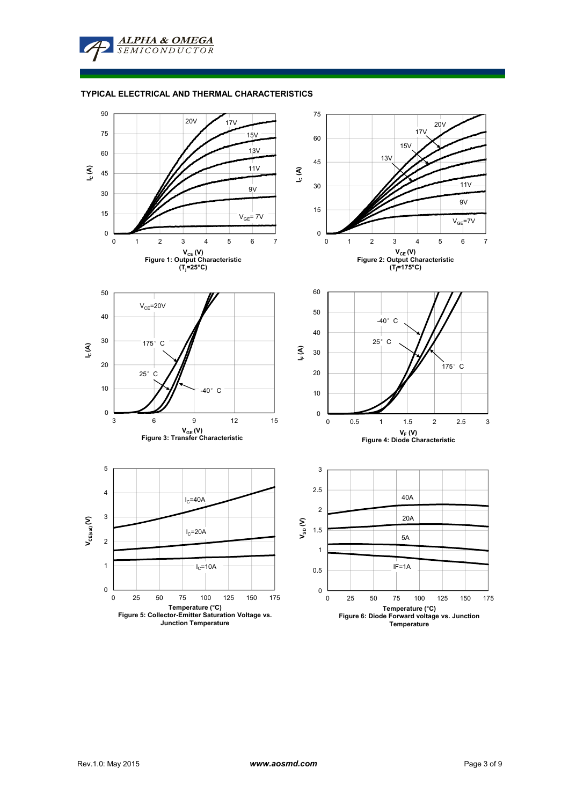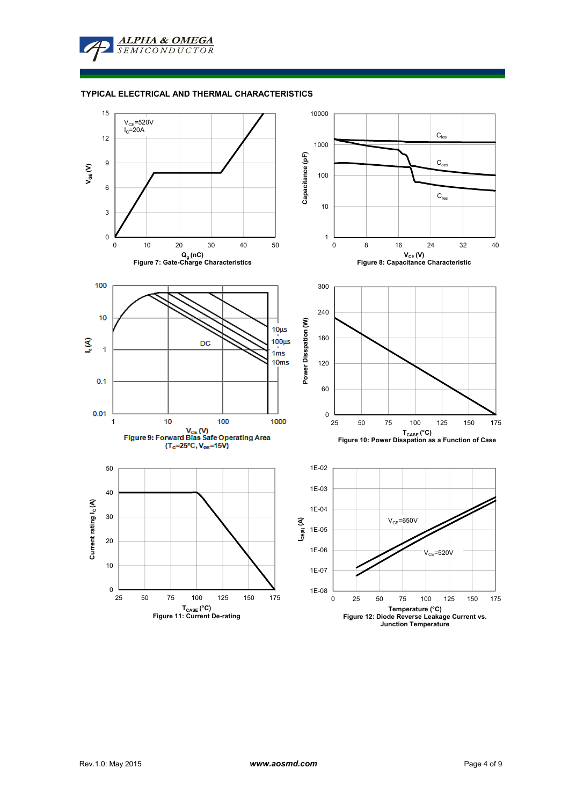## **TYPICAL ELECTRICAL AND THERMAL CHARACTERISTICS**

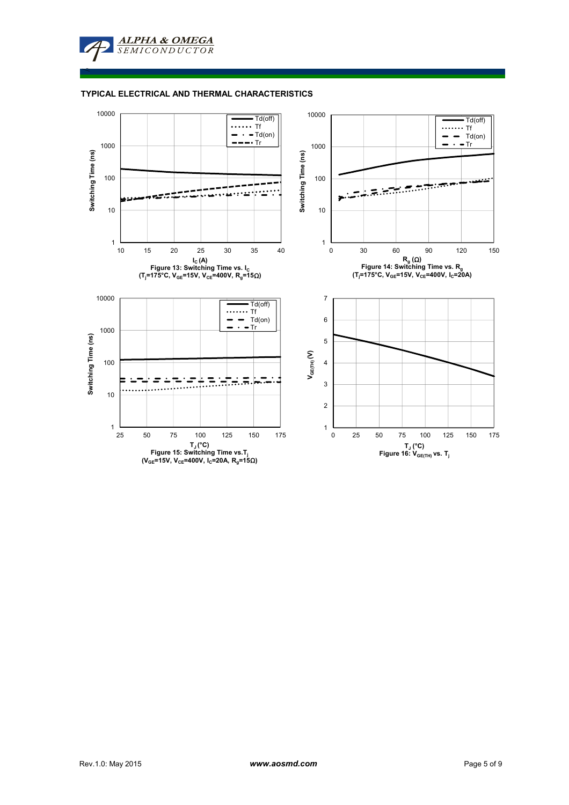≤

## **TYPICAL ELECTRICAL AND THERMAL CHARACTERISTICS**

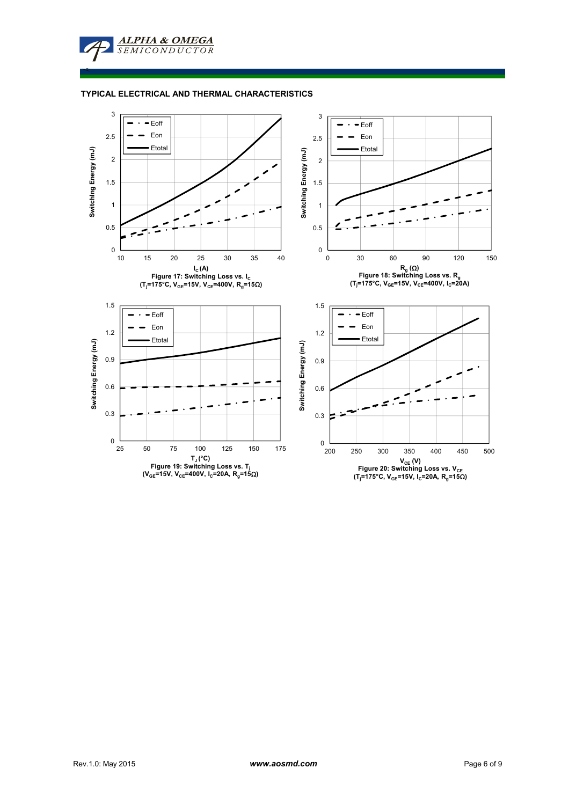**TYPICAL ELECTRICAL AND THERMAL CHARACTERISTICS**

**ALPHA & OMEGA SEMICONDUCTOR** 

≤

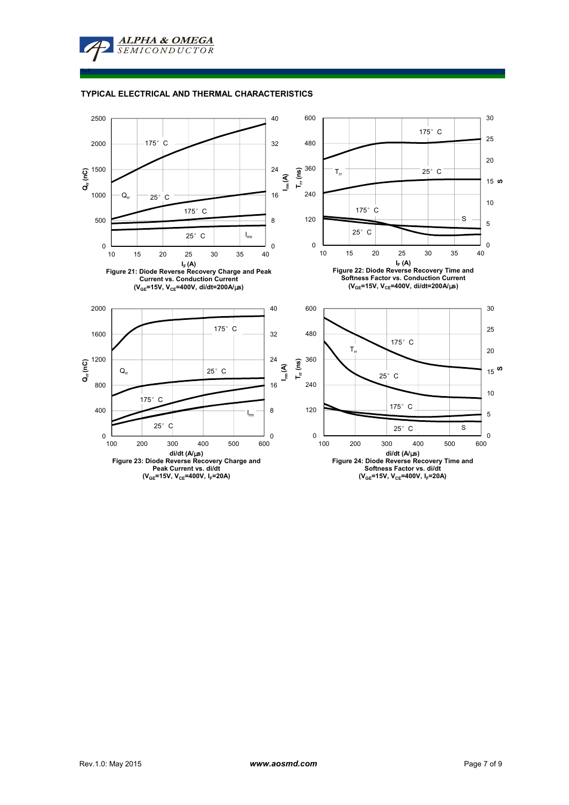□



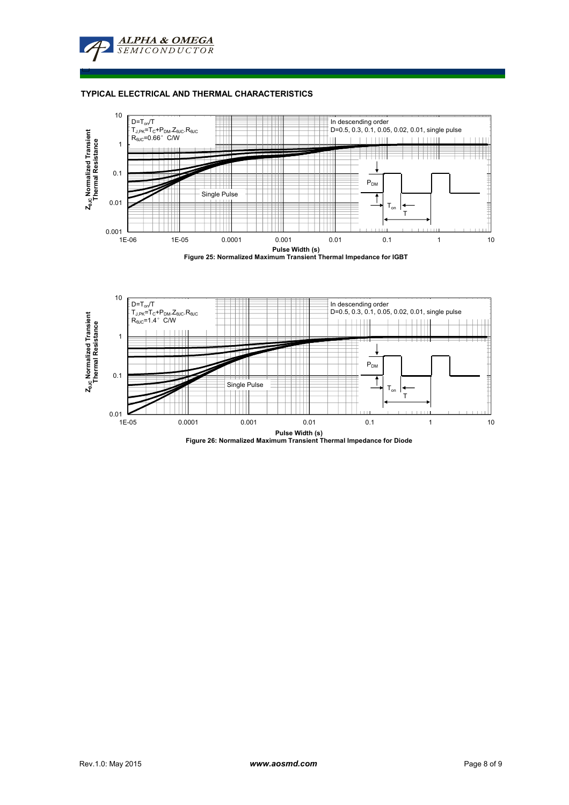

## **TYPICAL ELECTRICAL AND THERMAL CHARACTERISTICS**